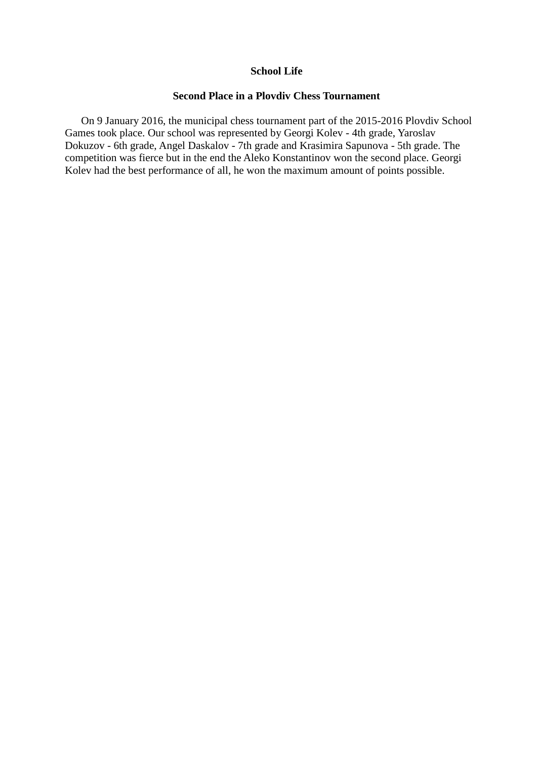## **School Life**

# **Second Place in a Plovdiv Chess Tournament**

On 9 January 2016, the municipal chess tournament part of the 2015-2016 Plovdiv School Games took place. Our school was represented by Georgi Kolev - 4th grade, Yaroslav Dokuzov - 6th grade, Angel Daskalov - 7th grade and Krasimira Sapunova - 5th grade. The competition was fierce but in the end the Aleko Konstantinov won the second place. Georgi Kolev had the best performance of all, he won the maximum amount of points possible.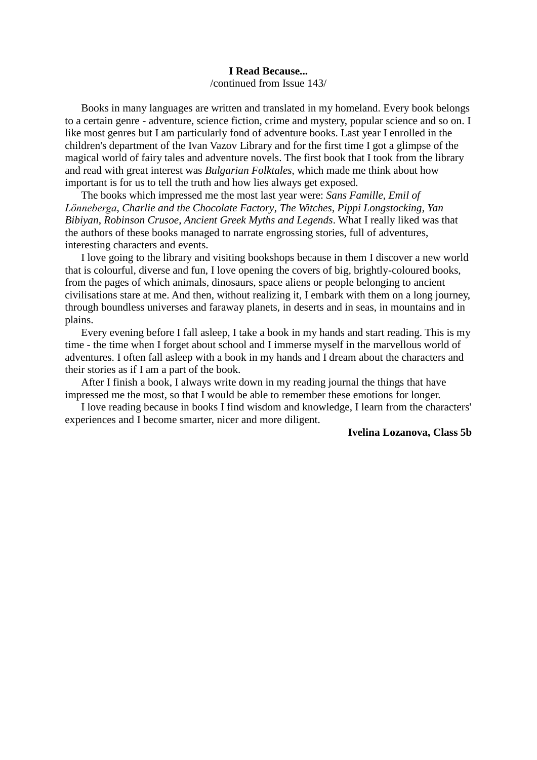# **I Read Because...**

/continued from Issue 143/

Books in many languages are written and translated in my homeland. Every book belongs to a certain genre - adventure, science fiction, crime and mystery, popular science and so on. I like most genres but I am particularly fond of adventure books. Last year I enrolled in the children's department of the Ivan Vazov Library and for the first time I got a glimpse of the magical world of fairy tales and adventure novels. The first book that I took from the library and read with great interest was *Bulgarian Folktales*, which made me think about how important is for us to tell the truth and how lies always get exposed.

The books which impressed me the most last year were: *Sans Famille*, *Emil of Lönneberga*, *Charlie and the Chocolate Factory*, *The Witches*, *Pippi Longstocking*, *Yan Bibiyan*, *Robinson Crusoe*, *Ancient Greek Myths and Legends*. What I really liked was that the authors of these books managed to narrate engrossing stories, full of adventures, interesting characters and events.

I love going to the library and visiting bookshops because in them I discover a new world that is colourful, diverse and fun, I love opening the covers of big, brightly-coloured books, from the pages of which animals, dinosaurs, space aliens or people belonging to ancient civilisations stare at me. And then, without realizing it, I embark with them on a long journey, through boundless universes and faraway planets, in deserts and in seas, in mountains and in plains.

Every evening before I fall asleep, I take a book in my hands and start reading. This is my time - the time when I forget about school and I immerse myself in the marvellous world of adventures. I often fall asleep with a book in my hands and I dream about the characters and their stories as if I am a part of the book.

After I finish a book, I always write down in my reading journal the things that have impressed me the most, so that I would be able to remember these emotions for longer.

I love reading because in books I find wisdom and knowledge, I learn from the characters' experiences and I become smarter, nicer and more diligent.

#### **Ivelina Lozanova, Class 5b**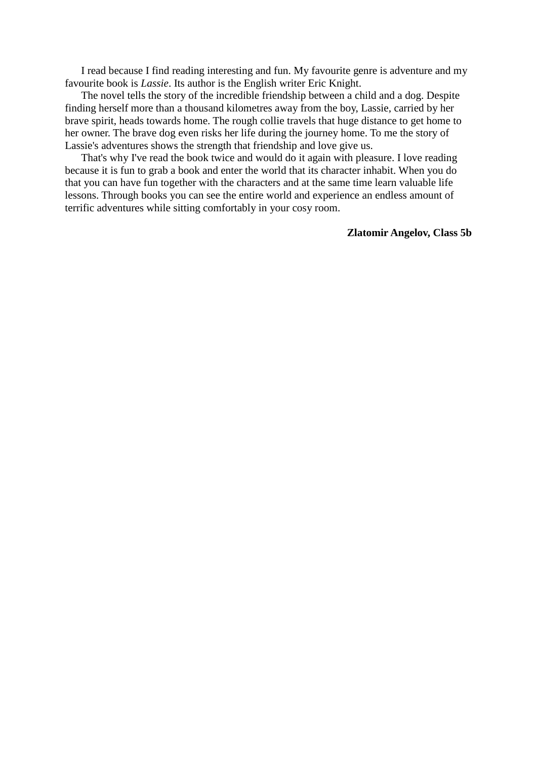I read because I find reading interesting and fun. My favourite genre is adventure and my favourite book is *Lassie*. Its author is the English writer Eric Knight.

The novel tells the story of the incredible friendship between a child and a dog. Despite finding herself more than a thousand kilometres away from the boy, Lassie, carried by her brave spirit, heads towards home. The rough collie travels that huge distance to get home to her owner. The brave dog even risks her life during the journey home. To me the story of Lassie's adventures shows the strength that friendship and love give us.

That's why I've read the book twice and would do it again with pleasure. I love reading because it is fun to grab a book and enter the world that its character inhabit. When you do that you can have fun together with the characters and at the same time learn valuable life lessons. Through books you can see the entire world and experience an endless amount of terrific adventures while sitting comfortably in your cosy room.

## **Zlatomir Angelov, Class 5b**